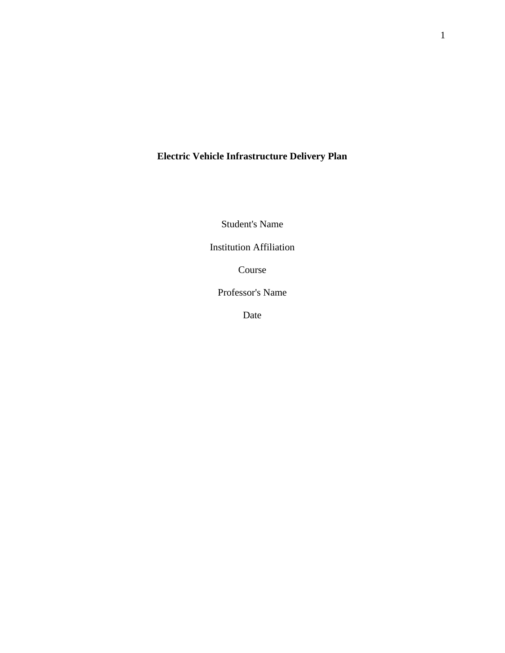# **Electric Vehicle Infrastructure Delivery Plan**

Student's Name

Institution Affiliation

Course

Professor's Name

Date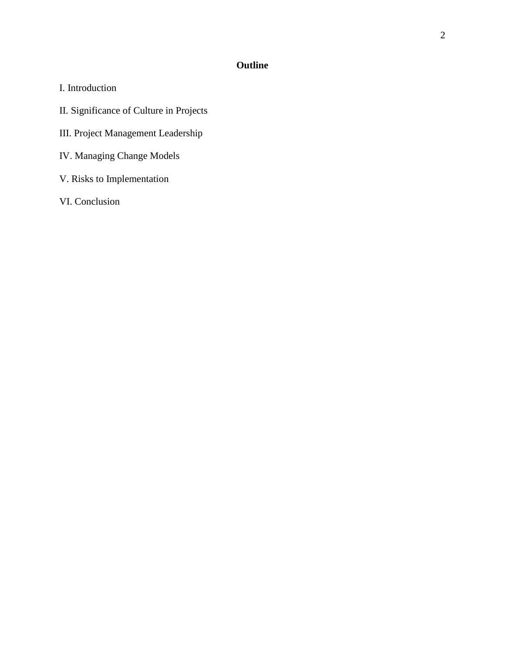# **Outline**

- I. Introduction
- II. Significance of Culture in Projects
- III. Project Management Leadership
- IV. Managing Change Models
- V. Risks to Implementation
- VI. Conclusion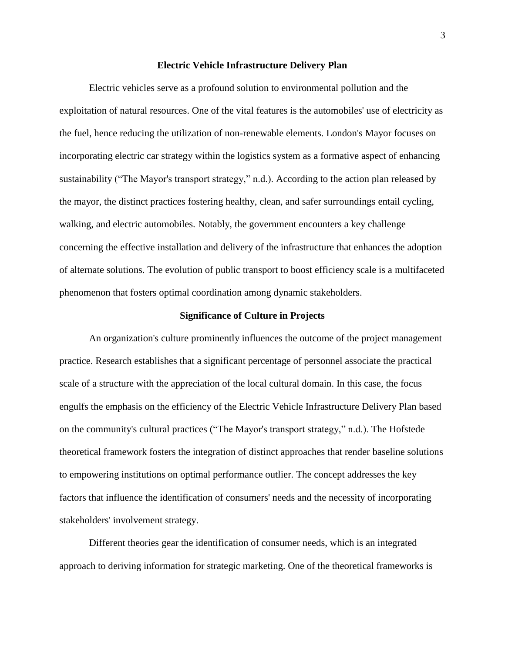#### **Electric Vehicle Infrastructure Delivery Plan**

Electric vehicles serve as a profound solution to environmental pollution and the exploitation of natural resources. One of the vital features is the automobiles' use of electricity as the fuel, hence reducing the utilization of non-renewable elements. London's Mayor focuses on incorporating electric car strategy within the logistics system as a formative aspect of enhancing sustainability ("The Mayor's transport strategy," n.d.). According to the action plan released by the mayor, the distinct practices fostering healthy, clean, and safer surroundings entail cycling, walking, and electric automobiles. Notably, the government encounters a key challenge concerning the effective installation and delivery of the infrastructure that enhances the adoption of alternate solutions. The evolution of public transport to boost efficiency scale is a multifaceted phenomenon that fosters optimal coordination among dynamic stakeholders.

# **Significance of Culture in Projects**

An organization's culture prominently influences the outcome of the project management practice. Research establishes that a significant percentage of personnel associate the practical scale of a structure with the appreciation of the local cultural domain. In this case, the focus engulfs the emphasis on the efficiency of the Electric Vehicle Infrastructure Delivery Plan based on the community's cultural practices ("The Mayor's transport strategy," n.d.). The Hofstede theoretical framework fosters the integration of distinct approaches that render baseline solutions to empowering institutions on optimal performance outlier. The concept addresses the key factors that influence the identification of consumers' needs and the necessity of incorporating stakeholders' involvement strategy.

Different theories gear the identification of consumer needs, which is an integrated approach to deriving information for strategic marketing. One of the theoretical frameworks is

3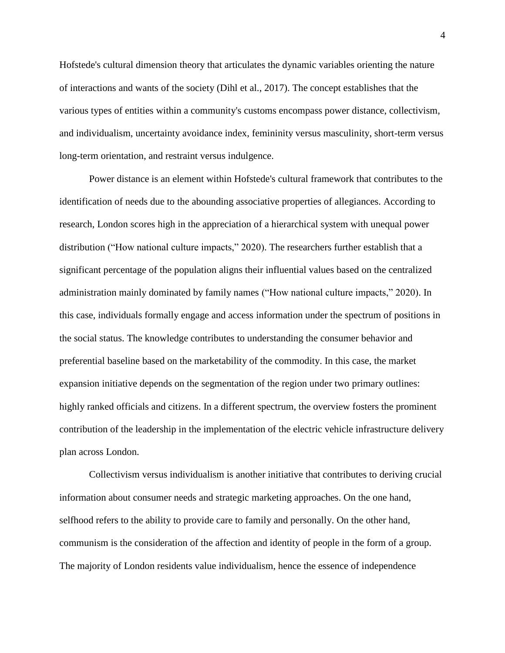Hofstede's cultural dimension theory that articulates the dynamic variables orienting the nature of interactions and wants of the society (Dihl et al., 2017). The concept establishes that the various types of entities within a community's customs encompass power distance, collectivism, and individualism, uncertainty avoidance index, femininity versus masculinity, short-term versus long-term orientation, and restraint versus indulgence.

Power distance is an element within Hofstede's cultural framework that contributes to the identification of needs due to the abounding associative properties of allegiances. According to research, London scores high in the appreciation of a hierarchical system with unequal power distribution ("How national culture impacts," 2020). The researchers further establish that a significant percentage of the population aligns their influential values based on the centralized administration mainly dominated by family names ("How national culture impacts," 2020). In this case, individuals formally engage and access information under the spectrum of positions in the social status. The knowledge contributes to understanding the consumer behavior and preferential baseline based on the marketability of the commodity. In this case, the market expansion initiative depends on the segmentation of the region under two primary outlines: highly ranked officials and citizens. In a different spectrum, the overview fosters the prominent contribution of the leadership in the implementation of the electric vehicle infrastructure delivery plan across London.

Collectivism versus individualism is another initiative that contributes to deriving crucial information about consumer needs and strategic marketing approaches. On the one hand, selfhood refers to the ability to provide care to family and personally. On the other hand, communism is the consideration of the affection and identity of people in the form of a group. The majority of London residents value individualism, hence the essence of independence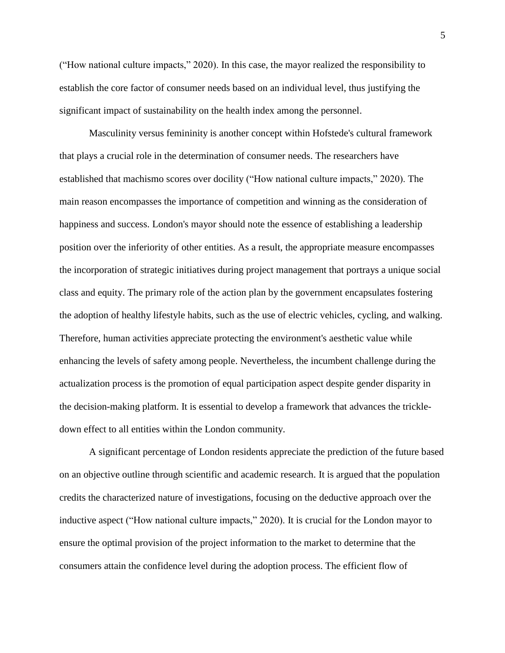("How national culture impacts," 2020). In this case, the mayor realized the responsibility to establish the core factor of consumer needs based on an individual level, thus justifying the significant impact of sustainability on the health index among the personnel.

Masculinity versus femininity is another concept within Hofstede's cultural framework that plays a crucial role in the determination of consumer needs. The researchers have established that machismo scores over docility ("How national culture impacts," 2020). The main reason encompasses the importance of competition and winning as the consideration of happiness and success. London's mayor should note the essence of establishing a leadership position over the inferiority of other entities. As a result, the appropriate measure encompasses the incorporation of strategic initiatives during project management that portrays a unique social class and equity. The primary role of the action plan by the government encapsulates fostering the adoption of healthy lifestyle habits, such as the use of electric vehicles, cycling, and walking. Therefore, human activities appreciate protecting the environment's aesthetic value while enhancing the levels of safety among people. Nevertheless, the incumbent challenge during the actualization process is the promotion of equal participation aspect despite gender disparity in the decision-making platform. It is essential to develop a framework that advances the trickledown effect to all entities within the London community.

A significant percentage of London residents appreciate the prediction of the future based on an objective outline through scientific and academic research. It is argued that the population credits the characterized nature of investigations, focusing on the deductive approach over the inductive aspect ("How national culture impacts," 2020). It is crucial for the London mayor to ensure the optimal provision of the project information to the market to determine that the consumers attain the confidence level during the adoption process. The efficient flow of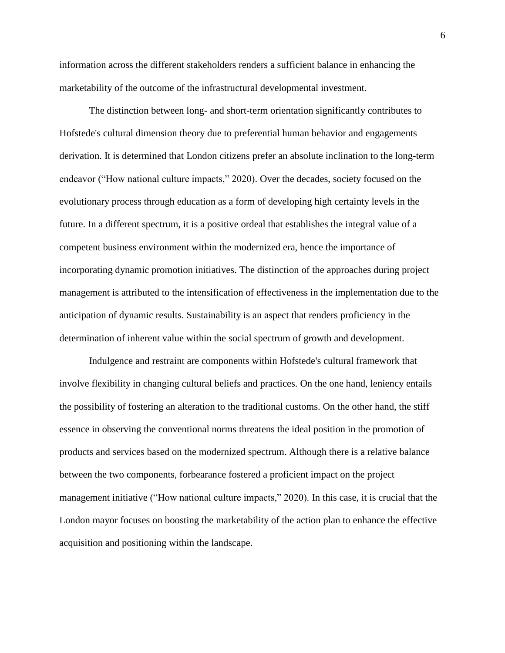information across the different stakeholders renders a sufficient balance in enhancing the marketability of the outcome of the infrastructural developmental investment.

The distinction between long- and short-term orientation significantly contributes to Hofstede's cultural dimension theory due to preferential human behavior and engagements derivation. It is determined that London citizens prefer an absolute inclination to the long-term endeavor ("How national culture impacts," 2020). Over the decades, society focused on the evolutionary process through education as a form of developing high certainty levels in the future. In a different spectrum, it is a positive ordeal that establishes the integral value of a competent business environment within the modernized era, hence the importance of incorporating dynamic promotion initiatives. The distinction of the approaches during project management is attributed to the intensification of effectiveness in the implementation due to the anticipation of dynamic results. Sustainability is an aspect that renders proficiency in the determination of inherent value within the social spectrum of growth and development.

Indulgence and restraint are components within Hofstede's cultural framework that involve flexibility in changing cultural beliefs and practices. On the one hand, leniency entails the possibility of fostering an alteration to the traditional customs. On the other hand, the stiff essence in observing the conventional norms threatens the ideal position in the promotion of products and services based on the modernized spectrum. Although there is a relative balance between the two components, forbearance fostered a proficient impact on the project management initiative ("How national culture impacts," 2020). In this case, it is crucial that the London mayor focuses on boosting the marketability of the action plan to enhance the effective acquisition and positioning within the landscape.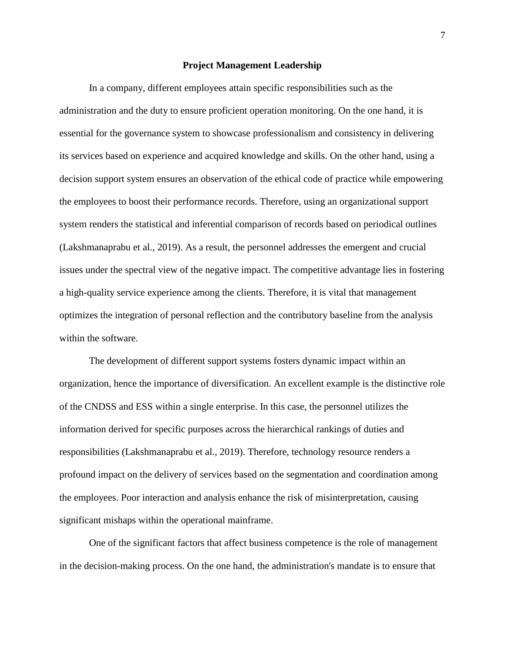#### **Project Management Leadership**

In a company, different employees attain specific responsibilities such as the administration and the duty to ensure proficient operation monitoring. On the one hand, it is essential for the governance system to showcase professionalism and consistency in delivering its services based on experience and acquired knowledge and skills. On the other hand, using a decision support system ensures an observation of the ethical code of practice while empowering the employees to boost their performance records. Therefore, using an organizational support system renders the statistical and inferential comparison of records based on periodical outlines (Lakshmanaprabu et al., 2019). As a result, the personnel addresses the emergent and crucial issues under the spectral view of the negative impact. The competitive advantage lies in fostering a high-quality service experience among the clients. Therefore, it is vital that management optimizes the integration of personal reflection and the contributory baseline from the analysis within the software.

The development of different support systems fosters dynamic impact within an organization, hence the importance of diversification. An excellent example is the distinctive role of the CNDSS and ESS within a single enterprise. In this case, the personnel utilizes the information derived for specific purposes across the hierarchical rankings of duties and responsibilities (Lakshmanaprabu et al., 2019). Therefore, technology resource renders a profound impact on the delivery of services based on the segmentation and coordination among the employees. Poor interaction and analysis enhance the risk of misinterpretation, causing significant mishaps within the operational mainframe.

One of the significant factors that affect business competence is the role of management in the decision-making process. On the one hand, the administration's mandate is to ensure that

7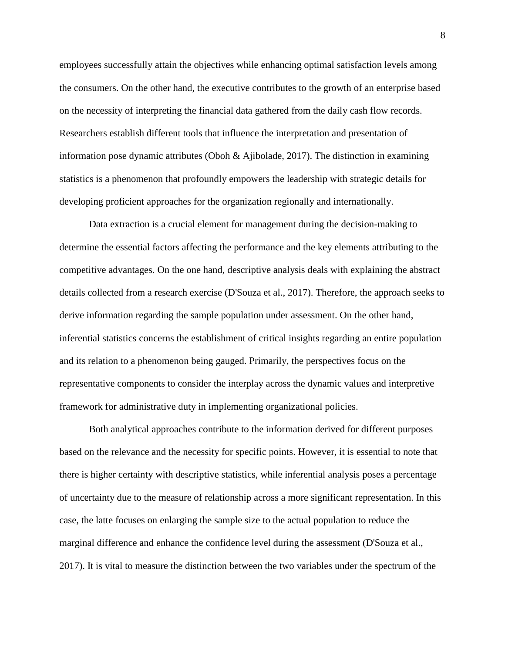employees successfully attain the objectives while enhancing optimal satisfaction levels among the consumers. On the other hand, the executive contributes to the growth of an enterprise based on the necessity of interpreting the financial data gathered from the daily cash flow records. Researchers establish different tools that influence the interpretation and presentation of information pose dynamic attributes (Oboh & Ajibolade, 2017). The distinction in examining statistics is a phenomenon that profoundly empowers the leadership with strategic details for developing proficient approaches for the organization regionally and internationally.

Data extraction is a crucial element for management during the decision-making to determine the essential factors affecting the performance and the key elements attributing to the competitive advantages. On the one hand, descriptive analysis deals with explaining the abstract details collected from a research exercise (D'Souza et al., 2017). Therefore, the approach seeks to derive information regarding the sample population under assessment. On the other hand, inferential statistics concerns the establishment of critical insights regarding an entire population and its relation to a phenomenon being gauged. Primarily, the perspectives focus on the representative components to consider the interplay across the dynamic values and interpretive framework for administrative duty in implementing organizational policies.

Both analytical approaches contribute to the information derived for different purposes based on the relevance and the necessity for specific points. However, it is essential to note that there is higher certainty with descriptive statistics, while inferential analysis poses a percentage of uncertainty due to the measure of relationship across a more significant representation. In this case, the latte focuses on enlarging the sample size to the actual population to reduce the marginal difference and enhance the confidence level during the assessment (D'Souza et al., 2017). It is vital to measure the distinction between the two variables under the spectrum of the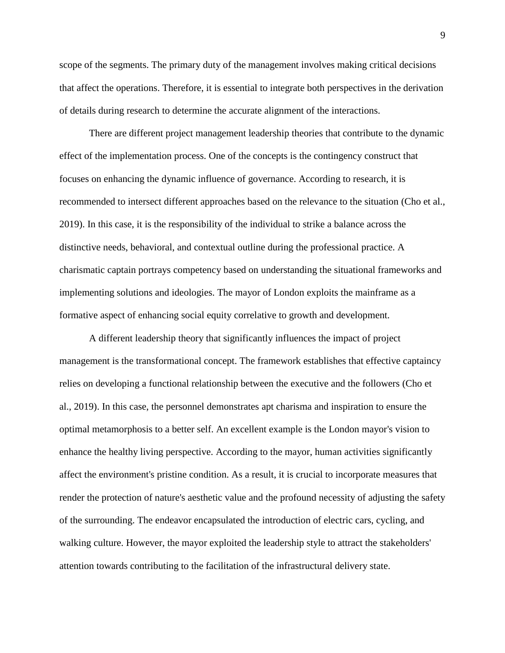scope of the segments. The primary duty of the management involves making critical decisions that affect the operations. Therefore, it is essential to integrate both perspectives in the derivation of details during research to determine the accurate alignment of the interactions.

There are different project management leadership theories that contribute to the dynamic effect of the implementation process. One of the concepts is the contingency construct that focuses on enhancing the dynamic influence of governance. According to research, it is recommended to intersect different approaches based on the relevance to the situation (Cho et al., 2019). In this case, it is the responsibility of the individual to strike a balance across the distinctive needs, behavioral, and contextual outline during the professional practice. A charismatic captain portrays competency based on understanding the situational frameworks and implementing solutions and ideologies. The mayor of London exploits the mainframe as a formative aspect of enhancing social equity correlative to growth and development.

A different leadership theory that significantly influences the impact of project management is the transformational concept. The framework establishes that effective captaincy relies on developing a functional relationship between the executive and the followers (Cho et al., 2019). In this case, the personnel demonstrates apt charisma and inspiration to ensure the optimal metamorphosis to a better self. An excellent example is the London mayor's vision to enhance the healthy living perspective. According to the mayor, human activities significantly affect the environment's pristine condition. As a result, it is crucial to incorporate measures that render the protection of nature's aesthetic value and the profound necessity of adjusting the safety of the surrounding. The endeavor encapsulated the introduction of electric cars, cycling, and walking culture. However, the mayor exploited the leadership style to attract the stakeholders' attention towards contributing to the facilitation of the infrastructural delivery state.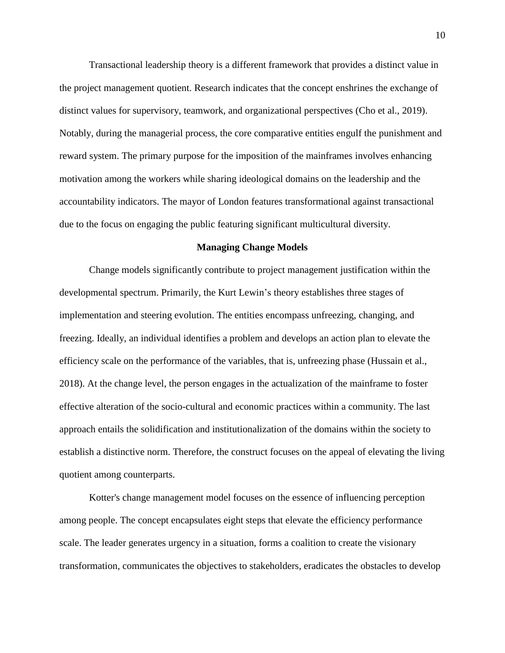Transactional leadership theory is a different framework that provides a distinct value in the project management quotient. Research indicates that the concept enshrines the exchange of distinct values for supervisory, teamwork, and organizational perspectives (Cho et al., 2019). Notably, during the managerial process, the core comparative entities engulf the punishment and reward system. The primary purpose for the imposition of the mainframes involves enhancing motivation among the workers while sharing ideological domains on the leadership and the accountability indicators. The mayor of London features transformational against transactional due to the focus on engaging the public featuring significant multicultural diversity.

## **Managing Change Models**

Change models significantly contribute to project management justification within the developmental spectrum. Primarily, the Kurt Lewin's theory establishes three stages of implementation and steering evolution. The entities encompass unfreezing, changing, and freezing. Ideally, an individual identifies a problem and develops an action plan to elevate the efficiency scale on the performance of the variables, that is, unfreezing phase (Hussain et al., 2018). At the change level, the person engages in the actualization of the mainframe to foster effective alteration of the socio-cultural and economic practices within a community. The last approach entails the solidification and institutionalization of the domains within the society to establish a distinctive norm. Therefore, the construct focuses on the appeal of elevating the living quotient among counterparts.

Kotter's change management model focuses on the essence of influencing perception among people. The concept encapsulates eight steps that elevate the efficiency performance scale. The leader generates urgency in a situation, forms a coalition to create the visionary transformation, communicates the objectives to stakeholders, eradicates the obstacles to develop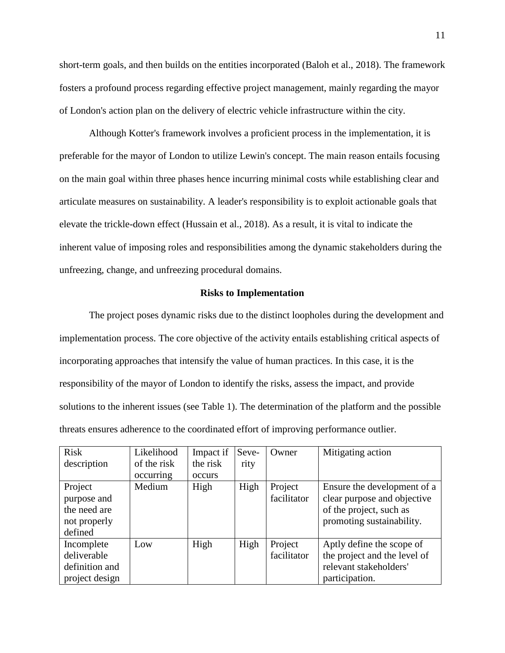short-term goals, and then builds on the entities incorporated (Baloh et al., 2018). The framework fosters a profound process regarding effective project management, mainly regarding the mayor of London's action plan on the delivery of electric vehicle infrastructure within the city.

Although Kotter's framework involves a proficient process in the implementation, it is preferable for the mayor of London to utilize Lewin's concept. The main reason entails focusing on the main goal within three phases hence incurring minimal costs while establishing clear and articulate measures on sustainability. A leader's responsibility is to exploit actionable goals that elevate the trickle-down effect (Hussain et al., 2018). As a result, it is vital to indicate the inherent value of imposing roles and responsibilities among the dynamic stakeholders during the unfreezing, change, and unfreezing procedural domains.

# **Risks to Implementation**

The project poses dynamic risks due to the distinct loopholes during the development and implementation process. The core objective of the activity entails establishing critical aspects of incorporating approaches that intensify the value of human practices. In this case, it is the responsibility of the mayor of London to identify the risks, assess the impact, and provide solutions to the inherent issues (see Table 1). The determination of the platform and the possible threats ensures adherence to the coordinated effort of improving performance outlier.

| <b>Risk</b>                                                       | Likelihood  | Impact if | Seve- | Owner                  | Mitigating action                                                                                                  |
|-------------------------------------------------------------------|-------------|-----------|-------|------------------------|--------------------------------------------------------------------------------------------------------------------|
| description                                                       | of the risk | the risk  | rity  |                        |                                                                                                                    |
|                                                                   | occurring   | occurs    |       |                        |                                                                                                                    |
| Project<br>purpose and<br>the need are<br>not properly<br>defined | Medium      | High      | High  | Project<br>facilitator | Ensure the development of a<br>clear purpose and objective<br>of the project, such as<br>promoting sustainability. |
| Incomplete<br>deliverable<br>definition and<br>project design     | Low         | High      | High  | Project<br>facilitator | Aptly define the scope of<br>the project and the level of<br>relevant stakeholders'<br>participation.              |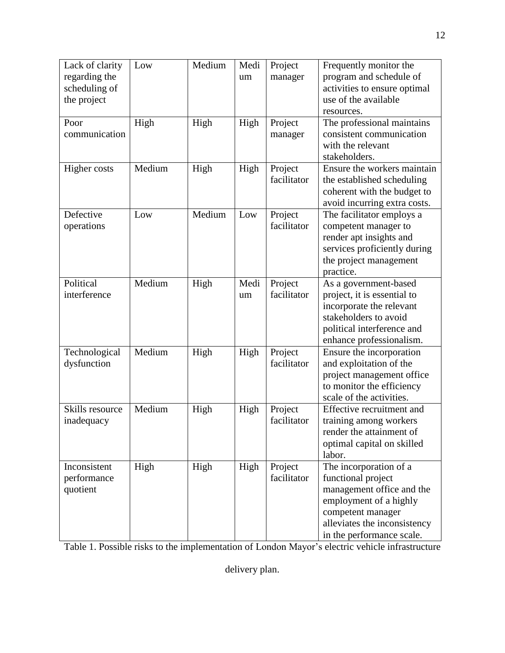| Lack of clarity | Low    | Medium | Medi | Project     | Frequently monitor the       |
|-----------------|--------|--------|------|-------------|------------------------------|
| regarding the   |        |        | um   | manager     | program and schedule of      |
| scheduling of   |        |        |      |             | activities to ensure optimal |
| the project     |        |        |      |             | use of the available         |
|                 |        |        |      |             | resources.                   |
| Poor            | High   | High   | High | Project     | The professional maintains   |
| communication   |        |        |      | manager     | consistent communication     |
|                 |        |        |      |             | with the relevant            |
|                 |        |        |      |             | stakeholders.                |
| Higher costs    | Medium | High   | High | Project     | Ensure the workers maintain  |
|                 |        |        |      | facilitator | the established scheduling   |
|                 |        |        |      |             | coherent with the budget to  |
|                 |        |        |      |             | avoid incurring extra costs. |
| Defective       | Low    | Medium | Low  | Project     | The facilitator employs a    |
| operations      |        |        |      | facilitator | competent manager to         |
|                 |        |        |      |             | render apt insights and      |
|                 |        |        |      |             | services proficiently during |
|                 |        |        |      |             | the project management       |
|                 |        |        |      |             | practice.                    |
| Political       | Medium | High   | Medi | Project     | As a government-based        |
| interference    |        |        | um   | facilitator | project, it is essential to  |
|                 |        |        |      |             | incorporate the relevant     |
|                 |        |        |      |             | stakeholders to avoid        |
|                 |        |        |      |             | political interference and   |
|                 |        |        |      |             | enhance professionalism.     |
| Technological   | Medium | High   | High | Project     | Ensure the incorporation     |
| dysfunction     |        |        |      | facilitator | and exploitation of the      |
|                 |        |        |      |             | project management office    |
|                 |        |        |      |             | to monitor the efficiency    |
|                 |        |        |      |             | scale of the activities.     |
| Skills resource | Medium | High   | High | Project     | Effective recruitment and    |
| inadequacy      |        |        |      | facilitator | training among workers       |
|                 |        |        |      |             | render the attainment of     |
|                 |        |        |      |             | optimal capital on skilled   |
|                 |        |        |      |             | labor.                       |
| Inconsistent    | High   | High   | High | Project     | The incorporation of a       |
| performance     |        |        |      | facilitator | functional project           |
| quotient        |        |        |      |             | management office and the    |
|                 |        |        |      |             | employment of a highly       |
|                 |        |        |      |             | competent manager            |
|                 |        |        |      |             | alleviates the inconsistency |
|                 |        |        |      |             | in the performance scale.    |

Table 1. Possible risks to the implementation of London Mayor's electric vehicle infrastructure

delivery plan.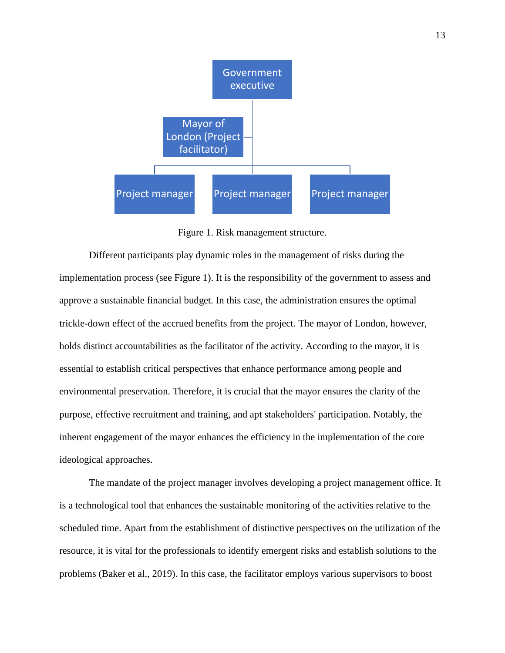

Figure 1. Risk management structure.

Different participants play dynamic roles in the management of risks during the implementation process (see Figure 1). It is the responsibility of the government to assess and approve a sustainable financial budget. In this case, the administration ensures the optimal trickle-down effect of the accrued benefits from the project. The mayor of London, however, holds distinct accountabilities as the facilitator of the activity. According to the mayor, it is essential to establish critical perspectives that enhance performance among people and environmental preservation. Therefore, it is crucial that the mayor ensures the clarity of the purpose, effective recruitment and training, and apt stakeholders' participation. Notably, the inherent engagement of the mayor enhances the efficiency in the implementation of the core ideological approaches.

The mandate of the project manager involves developing a project management office. It is a technological tool that enhances the sustainable monitoring of the activities relative to the scheduled time. Apart from the establishment of distinctive perspectives on the utilization of the resource, it is vital for the professionals to identify emergent risks and establish solutions to the problems (Baker et al., 2019). In this case, the facilitator employs various supervisors to boost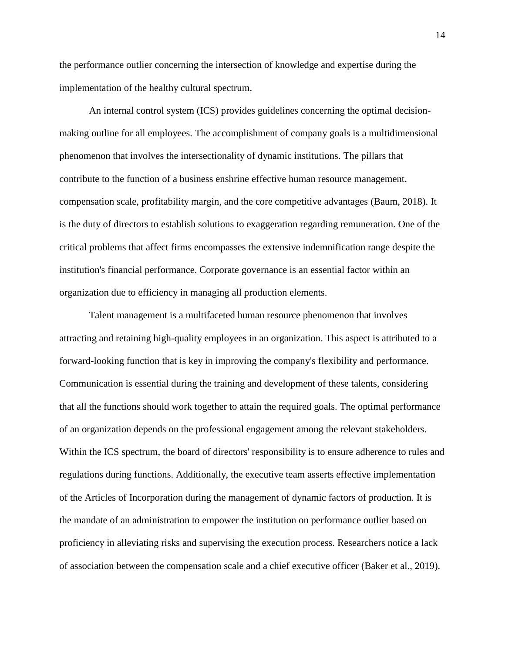the performance outlier concerning the intersection of knowledge and expertise during the implementation of the healthy cultural spectrum.

An internal control system (ICS) provides guidelines concerning the optimal decisionmaking outline for all employees. The accomplishment of company goals is a multidimensional phenomenon that involves the intersectionality of dynamic institutions. The pillars that contribute to the function of a business enshrine effective human resource management, compensation scale, profitability margin, and the core competitive advantages (Baum, 2018). It is the duty of directors to establish solutions to exaggeration regarding remuneration. One of the critical problems that affect firms encompasses the extensive indemnification range despite the institution's financial performance. Corporate governance is an essential factor within an organization due to efficiency in managing all production elements.

Talent management is a multifaceted human resource phenomenon that involves attracting and retaining high-quality employees in an organization. This aspect is attributed to a forward-looking function that is key in improving the company's flexibility and performance. Communication is essential during the training and development of these talents, considering that all the functions should work together to attain the required goals. The optimal performance of an organization depends on the professional engagement among the relevant stakeholders. Within the ICS spectrum, the board of directors' responsibility is to ensure adherence to rules and regulations during functions. Additionally, the executive team asserts effective implementation of the Articles of Incorporation during the management of dynamic factors of production. It is the mandate of an administration to empower the institution on performance outlier based on proficiency in alleviating risks and supervising the execution process. Researchers notice a lack of association between the compensation scale and a chief executive officer (Baker et al., 2019).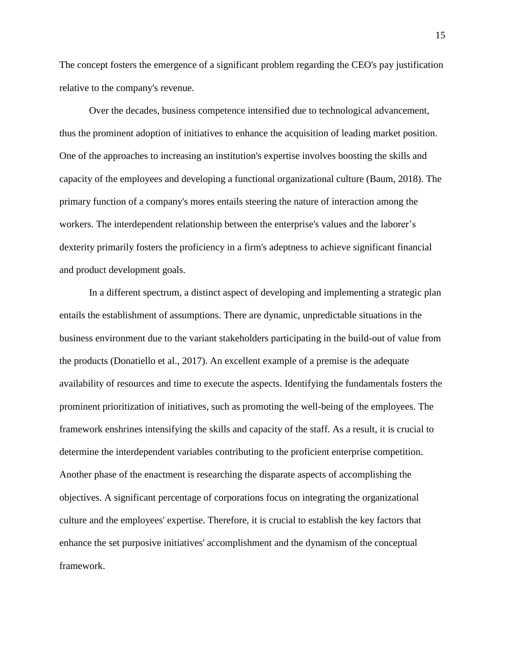The concept fosters the emergence of a significant problem regarding the CEO's pay justification relative to the company's revenue.

Over the decades, business competence intensified due to technological advancement, thus the prominent adoption of initiatives to enhance the acquisition of leading market position. One of the approaches to increasing an institution's expertise involves boosting the skills and capacity of the employees and developing a functional organizational culture (Baum, 2018). The primary function of a company's mores entails steering the nature of interaction among the workers. The interdependent relationship between the enterprise's values and the laborer's dexterity primarily fosters the proficiency in a firm's adeptness to achieve significant financial and product development goals.

In a different spectrum, a distinct aspect of developing and implementing a strategic plan entails the establishment of assumptions. There are dynamic, unpredictable situations in the business environment due to the variant stakeholders participating in the build-out of value from the products (Donatiello et al., 2017). An excellent example of a premise is the adequate availability of resources and time to execute the aspects. Identifying the fundamentals fosters the prominent prioritization of initiatives, such as promoting the well-being of the employees. The framework enshrines intensifying the skills and capacity of the staff. As a result, it is crucial to determine the interdependent variables contributing to the proficient enterprise competition. Another phase of the enactment is researching the disparate aspects of accomplishing the objectives. A significant percentage of corporations focus on integrating the organizational culture and the employees' expertise. Therefore, it is crucial to establish the key factors that enhance the set purposive initiatives' accomplishment and the dynamism of the conceptual framework.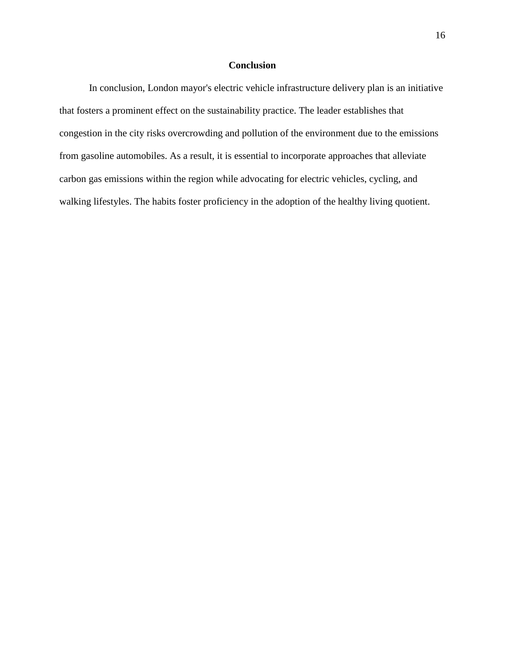# **Conclusion**

In conclusion, London mayor's electric vehicle infrastructure delivery plan is an initiative that fosters a prominent effect on the sustainability practice. The leader establishes that congestion in the city risks overcrowding and pollution of the environment due to the emissions from gasoline automobiles. As a result, it is essential to incorporate approaches that alleviate carbon gas emissions within the region while advocating for electric vehicles, cycling, and walking lifestyles. The habits foster proficiency in the adoption of the healthy living quotient.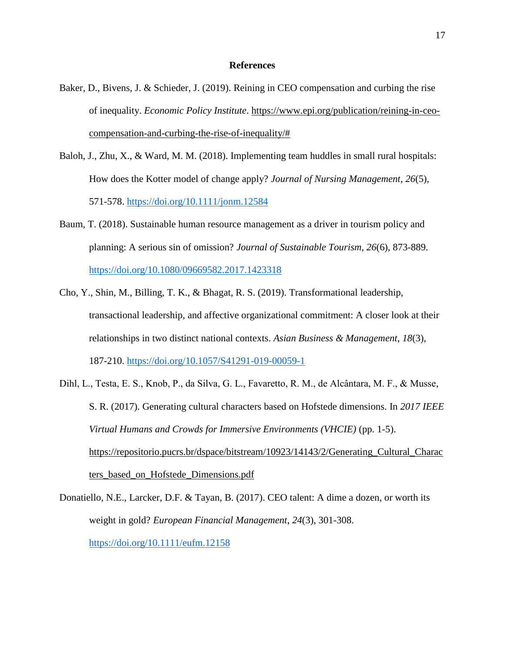### **References**

- Baker, D., Bivens, J. & Schieder, J. (2019). Reining in CEO compensation and curbing the rise of inequality. *Economic Policy Institute*. https://www.epi.org/publication/reining-in-ceocompensation-and-curbing-the-rise-of-inequality/#
- Baloh, J., Zhu, X., & Ward, M. M. (2018). Implementing team huddles in small rural hospitals: How does the Kotter model of change apply? *Journal of Nursing Management*, *26*(5), 571-578.<https://doi.org/10.1111/jonm.12584>
- Baum, T. (2018). Sustainable human resource management as a driver in tourism policy and planning: A serious sin of omission? *Journal of Sustainable Tourism*, *26*(6), 873-889. <https://doi.org/10.1080/09669582.2017.1423318>
- Cho, Y., Shin, M., Billing, T. K., & Bhagat, R. S. (2019). Transformational leadership, transactional leadership, and affective organizational commitment: A closer look at their relationships in two distinct national contexts. *Asian Business & Management*, *18*(3), 187-210.<https://doi.org/10.1057/S41291-019-00059-1>
- Dihl, L., Testa, E. S., Knob, P., da Silva, G. L., Favaretto, R. M., de Alcântara, M. F., & Musse, S. R. (2017). Generating cultural characters based on Hofstede dimensions. In *2017 IEEE Virtual Humans and Crowds for Immersive Environments (VHCIE)* (pp. 1-5). https://repositorio.pucrs.br/dspace/bitstream/10923/14143/2/Generating\_Cultural\_Charac ters\_based\_on\_Hofstede\_Dimensions.pdf
- Donatiello, N.E., Larcker, D.F. & Tayan, B. (2017). CEO talent: A dime a dozen, or worth its weight in gold? *European Financial Management*, *24*(3), 301-308. <https://doi.org/10.1111/eufm.12158>